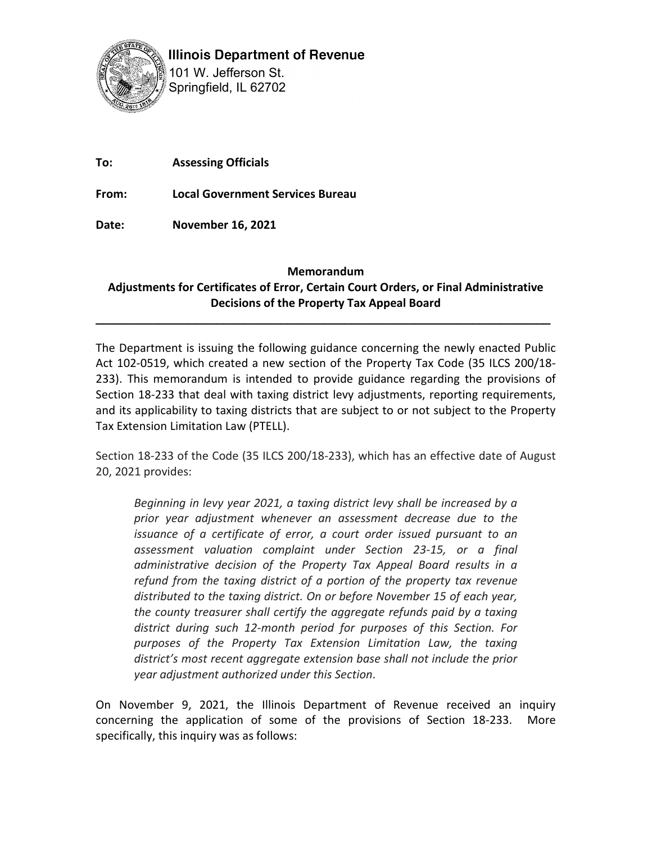

**Illinois Department of Revenue** 

101 W. Jefferson St. Springfield, IL 62702

**To: Assessing Officials**

**From: Local Government Services Bureau**

**Date: November 16, 2021**

## **Memorandum**

## **Adjustments for Certificates of Error, Certain Court Orders, or Final Administrative Decisions of the Property Tax Appeal Board**

**\_\_\_\_\_\_\_\_\_\_\_\_\_\_\_\_\_\_\_\_\_\_\_\_\_\_\_\_\_\_\_\_\_\_\_\_\_\_\_\_\_\_\_\_\_\_\_\_\_\_\_\_\_\_\_\_\_\_\_\_\_\_\_\_**

The Department is issuing the following guidance concerning the newly enacted Public Act 102-0519, which created a new section of the Property Tax Code (35 ILCS 200/18- 233). This memorandum is intended to provide guidance regarding the provisions of Section 18-233 that deal with taxing district levy adjustments, reporting requirements, and its applicability to taxing districts that are subject to or not subject to the Property Tax Extension Limitation Law (PTELL).

Section 18-233 of the Code (35 ILCS 200/18-233), which has an effective date of August 20, 2021 provides:

*Beginning in levy year 2021, a taxing district levy shall be increased by a prior year adjustment whenever an assessment decrease due to the issuance of a certificate of error, a court order issued pursuant to an assessment valuation complaint under Section 23-15, or a final administrative decision of the Property Tax Appeal Board results in a refund from the taxing district of a portion of the property tax revenue distributed to the taxing district. On or before November 15 of each year, the county treasurer shall certify the aggregate refunds paid by a taxing district during such 12-month period for purposes of this Section. For purposes of the Property Tax Extension Limitation Law, the taxing district's most recent aggregate extension base shall not include the prior year adjustment authorized under this Section*.

On November 9, 2021, the Illinois Department of Revenue received an inquiry concerning the application of some of the provisions of Section 18-233. More specifically, this inquiry was as follows: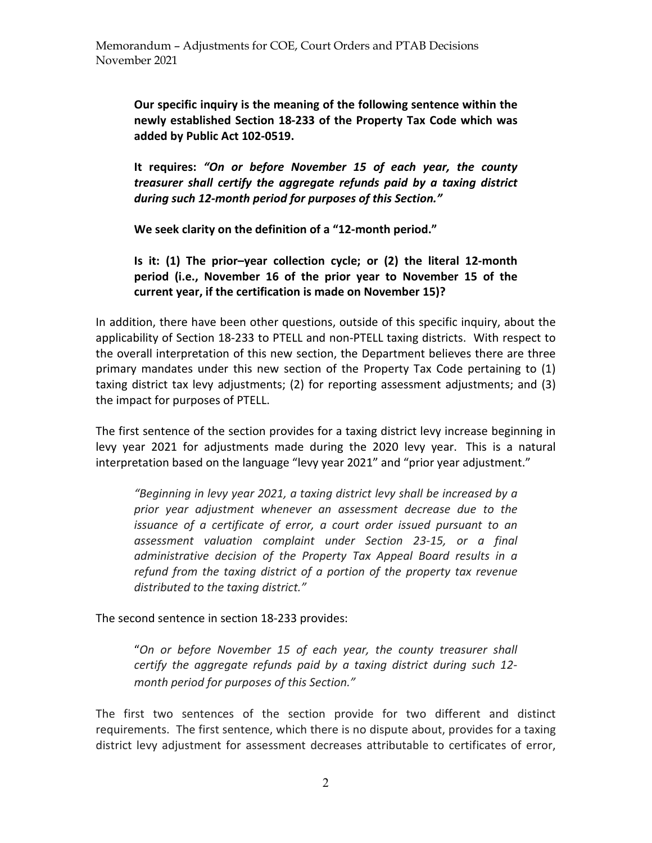**Our specific inquiry is the meaning of the following sentence within the newly established Section 18-233 of the Property Tax Code which was added by Public Act 102-0519.** 

**It requires:** *"On or before November 15 of each year, the county treasurer shall certify the aggregate refunds paid by a taxing district during such 12-month period for purposes of this Section."*

**We seek clarity on the definition of a "12-month period."** 

**Is it: (1) The prior–year collection cycle; or (2) the literal 12-month period (i.e., November 16 of the prior year to November 15 of the current year, if the certification is made on November 15)?**

In addition, there have been other questions, outside of this specific inquiry, about the applicability of Section 18-233 to PTELL and non-PTELL taxing districts. With respect to the overall interpretation of this new section, the Department believes there are three primary mandates under this new section of the Property Tax Code pertaining to (1) taxing district tax levy adjustments; (2) for reporting assessment adjustments; and (3) the impact for purposes of PTELL.

The first sentence of the section provides for a taxing district levy increase beginning in levy year 2021 for adjustments made during the 2020 levy year. This is a natural interpretation based on the language "levy year 2021" and "prior year adjustment."

*"Beginning in levy year 2021, a taxing district levy shall be increased by a prior year adjustment whenever an assessment decrease due to the issuance of a certificate of error, a court order issued pursuant to an assessment valuation complaint under Section 23-15, or a final administrative decision of the Property Tax Appeal Board results in a refund from the taxing district of a portion of the property tax revenue distributed to the taxing district."*

The second sentence in section 18-233 provides:

"*On or before November 15 of each year, the county treasurer shall certify the aggregate refunds paid by a taxing district during such 12 month period for purposes of this Section."*

The first two sentences of the section provide for two different and distinct requirements. The first sentence, which there is no dispute about, provides for a taxing district levy adjustment for assessment decreases attributable to certificates of error,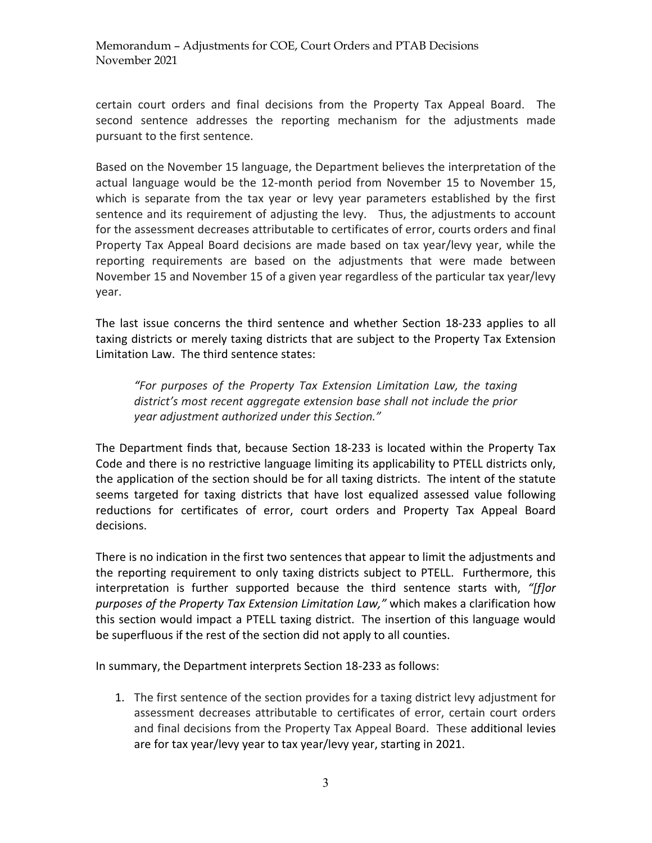certain court orders and final decisions from the Property Tax Appeal Board. The second sentence addresses the reporting mechanism for the adjustments made pursuant to the first sentence.

Based on the November 15 language, the Department believes the interpretation of the actual language would be the 12-month period from November 15 to November 15, which is separate from the tax year or levy year parameters established by the first sentence and its requirement of adjusting the levy. Thus, the adjustments to account for the assessment decreases attributable to certificates of error, courts orders and final Property Tax Appeal Board decisions are made based on tax year/levy year, while the reporting requirements are based on the adjustments that were made between November 15 and November 15 of a given year regardless of the particular tax year/levy year.

The last issue concerns the third sentence and whether Section 18-233 applies to all taxing districts or merely taxing districts that are subject to the Property Tax Extension Limitation Law. The third sentence states:

*"For purposes of the Property Tax Extension Limitation Law, the taxing district's most recent aggregate extension base shall not include the prior year adjustment authorized under this Section."* 

The Department finds that, because Section 18-233 is located within the Property Tax Code and there is no restrictive language limiting its applicability to PTELL districts only, the application of the section should be for all taxing districts. The intent of the statute seems targeted for taxing districts that have lost equalized assessed value following reductions for certificates of error, court orders and Property Tax Appeal Board decisions.

There is no indication in the first two sentences that appear to limit the adjustments and the reporting requirement to only taxing districts subject to PTELL. Furthermore, this interpretation is further supported because the third sentence starts with, *"[f]or purposes of the Property Tax Extension Limitation Law,"* which makes a clarification how this section would impact a PTELL taxing district. The insertion of this language would be superfluous if the rest of the section did not apply to all counties.

In summary, the Department interprets Section 18-233 as follows:

1. The first sentence of the section provides for a taxing district levy adjustment for assessment decreases attributable to certificates of error, certain court orders and final decisions from the Property Tax Appeal Board. These additional levies are for tax year/levy year to tax year/levy year, starting in 2021.